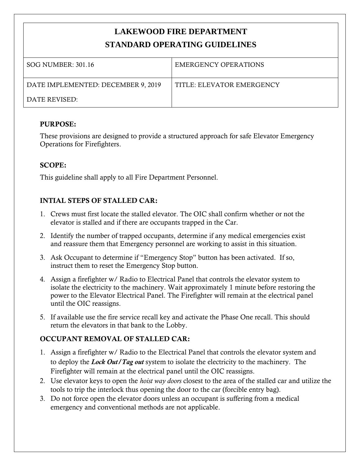# **LAKEWOOD FIRE DEPARTMENT STANDARD OPERATING GUIDELINES**

| SOG NUMBER: 301.16                 | EMERGENCY OPERATIONS      |
|------------------------------------|---------------------------|
| DATE IMPLEMENTED: DECEMBER 9, 2019 | TITLE: ELEVATOR EMERGENCY |
| DATE REVISED:                      |                           |

#### **PURPOSE:**

These provisions are designed to provide a structured approach for safe Elevator Emergency Operations for Firefighters.

## **SCOPE:**

This guideline shall apply to all Fire Department Personnel.

# **INTIAL STEPS OF STALLED CAR:**

- 1. Crews must first locate the stalled elevator. The OIC shall confirm whether or not the elevator is stalled and if there are occupants trapped in the Car.
- 2. Identify the number of trapped occupants, determine if any medical emergencies exist and reassure them that Emergency personnel are working to assist in this situation.
- 3. Ask Occupant to determine if "Emergency Stop" button has been activated. If so, instruct them to reset the Emergency Stop button.
- 4. Assign a firefighter w/ Radio to Electrical Panel that controls the elevator system to isolate the electricity to the machinery. Wait approximately 1 minute before restoring the power to the Elevator Electrical Panel. The Firefighter will remain at the electrical panel until the OIC reassigns.
- 5. If available use the fire service recall key and activate the Phase One recall. This should return the elevators in that bank to the Lobby.

#### **OCCUPANT REMOVAL OF STALLED CAR:**

- 1. Assign a firefighter w/ Radio to the Electrical Panel that controls the elevator system and to deploy the *Lock Out/Tag out* system to isolate the electricity to the machinery. The Firefighter will remain at the electrical panel until the OIC reassigns.
- 2. Use elevator keys to open the *hoist way doors* closest to the area of the stalled car and utilize the tools to trip the interlock thus opening the door to the car (forcible entry bag).
- 3. Do not force open the elevator doors unless an occupant is suffering from a medical emergency and conventional methods are not applicable.